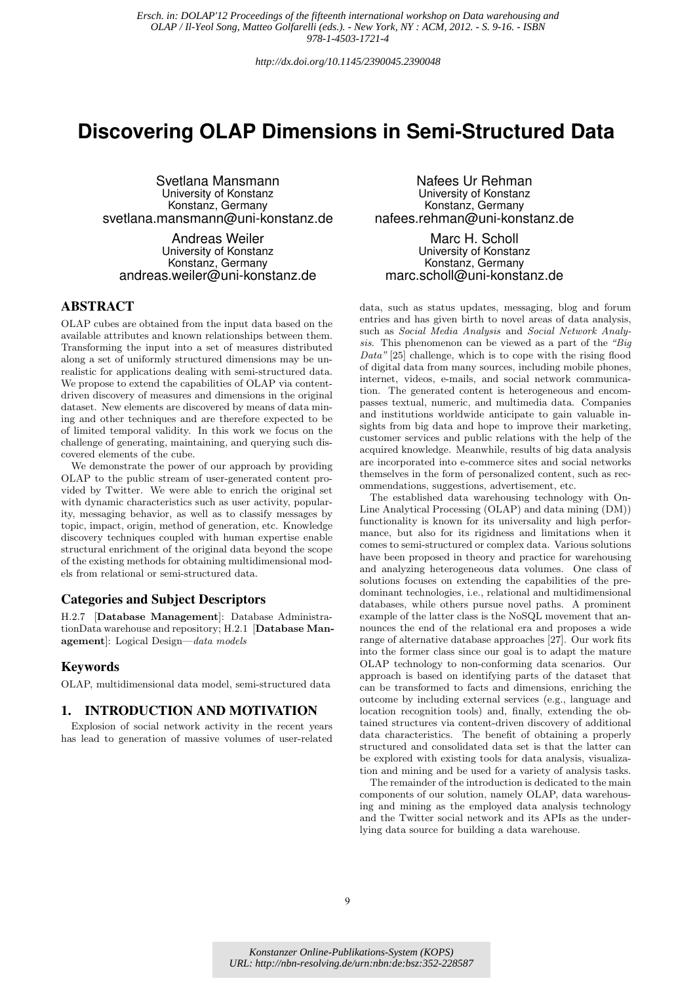*Ersch. in: DOLAP'12 Proceedings of the fifteenth international workshop on Data warehousing and OLAP / Il-Yeol Song, Matteo Golfarelli (eds.). - New York, NY : ACM, 2012. - S. 9-16. - ISBN 978-1-4503-1721-4* 

*http://dx.doi.org/10.1145/2390045.2390048*

# **Discovering OLAP Dimensions in Semi-Structured Data**

Svetlana Mansmann University of Konstanz Konstanz, Germany svetlana.mansmann@uni-konstanz.de

Andreas Weiler University of Konstanz Konstanz, Germany andreas.weiler@uni-konstanz.de

# ABSTRACT

OLAP cubes are obtained from the input data based on the available attributes and known relationships between them. Transforming the input into a set of measures distributed along a set of uniformly structured dimensions may be unrealistic for applications dealing with semi-structured data. We propose to extend the capabilities of OLAP via contentdriven discovery of measures and dimensions in the original dataset. New elements are discovered by means of data mining and other techniques and are therefore expected to be of limited temporal validity. In this work we focus on the challenge of generating, maintaining, and querying such discovered elements of the cube.

We demonstrate the power of our approach by providing OLAP to the public stream of user-generated content provided by Twitter. We were able to enrich the original set with dynamic characteristics such as user activity, popularity, messaging behavior, as well as to classify messages by topic, impact, origin, method of generation, etc. Knowledge discovery techniques coupled with human expertise enable structural enrichment of the original data beyond the scope of the existing methods for obtaining multidimensional models from relational or semi-structured data.

# Categories and Subject Descriptors

H.2.7 [Database Management]: Database AdministrationData warehouse and repository; H.2.1 [Database Management]: Logical Design—*data models*

# Keywords

OLAP, multidimensional data model, semi-structured data

# 1. INTRODUCTION AND MOTIVATION

Explosion of social network activity in the recent years has lead to generation of massive volumes of user-related

Nafees Ur Rehman University of Konstanz Konstanz, Germany nafees.rehman@uni-konstanz.de

Marc H. Scholl University of Konstanz Konstanz, Germany marc.scholl@uni-konstanz.de

data, such as status updates, messaging, blog and forum entries and has given birth to novel areas of data analysis, such as *Social Media Analysis* and *Social Network Analysis*. This phenomenon can be viewed as a part of the *"Big Data"* [25] challenge, which is to cope with the rising flood of digital data from many sources, including mobile phones, internet, videos, e-mails, and social network communication. The generated content is heterogeneous and encompasses textual, numeric, and multimedia data. Companies and institutions worldwide anticipate to gain valuable insights from big data and hope to improve their marketing, customer services and public relations with the help of the acquired knowledge. Meanwhile, results of big data analysis are incorporated into e-commerce sites and social networks themselves in the form of personalized content, such as recommendations, suggestions, advertisement, etc.

The established data warehousing technology with On-Line Analytical Processing (OLAP) and data mining (DM)) functionality is known for its universality and high performance, but also for its rigidness and limitations when it comes to semi-structured or complex data. Various solutions have been proposed in theory and practice for warehousing and analyzing heterogeneous data volumes. One class of solutions focuses on extending the capabilities of the predominant technologies, i.e., relational and multidimensional databases, while others pursue novel paths. A prominent example of the latter class is the NoSQL movement that announces the end of the relational era and proposes a wide range of alternative database approaches [27]. Our work fits into the former class since our goal is to adapt the mature OLAP technology to non-conforming data scenarios. Our approach is based on identifying parts of the dataset that can be transformed to facts and dimensions, enriching the outcome by including external services (e.g., language and location recognition tools) and, finally, extending the obtained structures via content-driven discovery of additional data characteristics. The benefit of obtaining a properly structured and consolidated data set is that the latter can be explored with existing tools for data analysis, visualization and mining and be used for a variety of analysis tasks.

The remainder of the introduction is dedicated to the main components of our solution, namely OLAP, data warehousing and mining as the employed data analysis technology and the Twitter social network and its APIs as the underlying data source for building a data warehouse.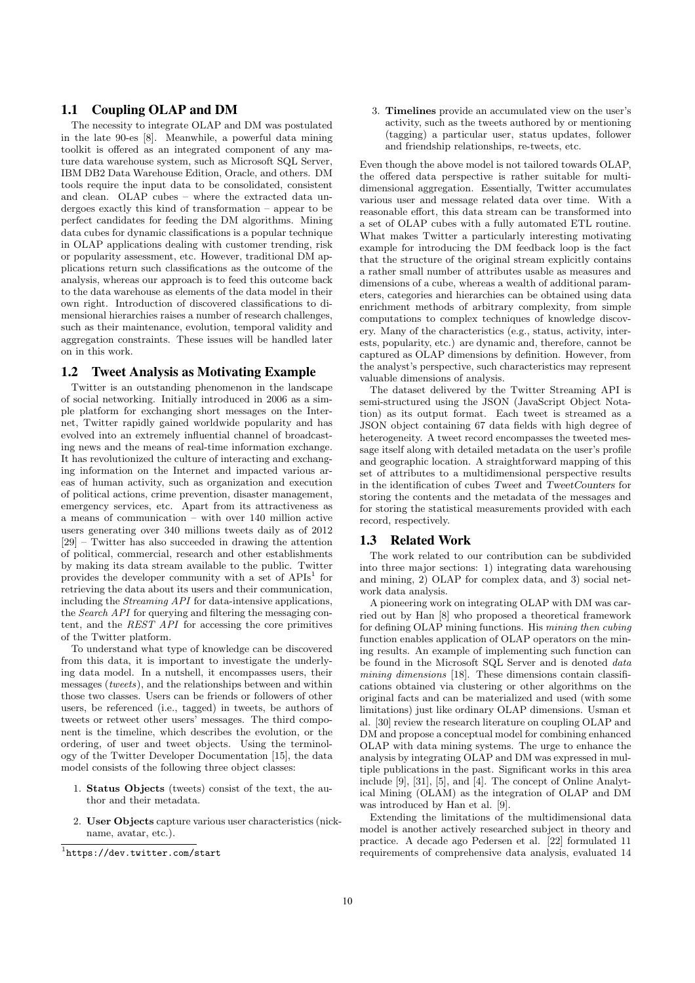# 1.1 Coupling OLAP and DM

The necessity to integrate OLAP and DM was postulated in the late 90-es [8]. Meanwhile, a powerful data mining toolkit is offered as an integrated component of any mature data warehouse system, such as Microsoft SQL Server, IBM DB2 Data Warehouse Edition, Oracle, and others. DM tools require the input data to be consolidated, consistent and clean. OLAP cubes – where the extracted data undergoes exactly this kind of transformation – appear to be perfect candidates for feeding the DM algorithms. Mining data cubes for dynamic classifications is a popular technique in OLAP applications dealing with customer trending, risk or popularity assessment, etc. However, traditional DM applications return such classifications as the outcome of the analysis, whereas our approach is to feed this outcome back to the data warehouse as elements of the data model in their own right. Introduction of discovered classifications to dimensional hierarchies raises a number of research challenges, such as their maintenance, evolution, temporal validity and aggregation constraints. These issues will be handled later on in this work.

#### 1.2 Tweet Analysis as Motivating Example

Twitter is an outstanding phenomenon in the landscape of social networking. Initially introduced in 2006 as a simple platform for exchanging short messages on the Internet, Twitter rapidly gained worldwide popularity and has evolved into an extremely influential channel of broadcasting news and the means of real-time information exchange. It has revolutionized the culture of interacting and exchanging information on the Internet and impacted various areas of human activity, such as organization and execution of political actions, crime prevention, disaster management, emergency services, etc. Apart from its attractiveness as a means of communication – with over 140 million active users generating over 340 millions tweets daily as of 2012 [29] – Twitter has also succeeded in drawing the attention of political, commercial, research and other establishments by making its data stream available to the public. Twitter provides the developer community with a set of  $APIs<sup>1</sup>$  for retrieving the data about its users and their communication, including the *Streaming API* for data-intensive applications, the *Search API* for querying and filtering the messaging content, and the *REST API* for accessing the core primitives of the Twitter platform.

To understand what type of knowledge can be discovered from this data, it is important to investigate the underlying data model. In a nutshell, it encompasses users, their messages (*tweets*), and the relationships between and within those two classes. Users can be friends or followers of other users, be referenced (i.e., tagged) in tweets, be authors of tweets or retweet other users' messages. The third component is the timeline, which describes the evolution, or the ordering, of user and tweet objects. Using the terminology of the Twitter Developer Documentation [15], the data model consists of the following three object classes:

- 1. Status Objects (tweets) consist of the text, the author and their metadata.
- 2. User Objects capture various user characteristics (nickname, avatar, etc.).

3. Timelines provide an accumulated view on the user's activity, such as the tweets authored by or mentioning (tagging) a particular user, status updates, follower and friendship relationships, re-tweets, etc.

Even though the above model is not tailored towards OLAP, the offered data perspective is rather suitable for multidimensional aggregation. Essentially, Twitter accumulates various user and message related data over time. With a reasonable effort, this data stream can be transformed into a set of OLAP cubes with a fully automated ETL routine. What makes Twitter a particularly interesting motivating example for introducing the DM feedback loop is the fact that the structure of the original stream explicitly contains a rather small number of attributes usable as measures and dimensions of a cube, whereas a wealth of additional parameters, categories and hierarchies can be obtained using data enrichment methods of arbitrary complexity, from simple computations to complex techniques of knowledge discovery. Many of the characteristics (e.g., status, activity, interests, popularity, etc.) are dynamic and, therefore, cannot be captured as OLAP dimensions by definition. However, from the analyst's perspective, such characteristics may represent valuable dimensions of analysis.

The dataset delivered by the Twitter Streaming API is semi-structured using the JSON (JavaScript Object Notation) as its output format. Each tweet is streamed as a JSON object containing 67 data fields with high degree of heterogeneity. A tweet record encompasses the tweeted message itself along with detailed metadata on the user's profile and geographic location. A straightforward mapping of this set of attributes to a multidimensional perspective results in the identification of cubes Tweet and TweetCounters for storing the contents and the metadata of the messages and for storing the statistical measurements provided with each record, respectively.

### 1.3 Related Work

The work related to our contribution can be subdivided into three major sections: 1) integrating data warehousing and mining, 2) OLAP for complex data, and 3) social network data analysis.

A pioneering work on integrating OLAP with DM was carried out by Han [8] who proposed a theoretical framework for defining OLAP mining functions. His *mining then cubing* function enables application of OLAP operators on the mining results. An example of implementing such function can be found in the Microsoft SQL Server and is denoted *data mining dimensions* [18]. These dimensions contain classifications obtained via clustering or other algorithms on the original facts and can be materialized and used (with some limitations) just like ordinary OLAP dimensions. Usman et al. [30] review the research literature on coupling OLAP and DM and propose a conceptual model for combining enhanced OLAP with data mining systems. The urge to enhance the analysis by integrating OLAP and DM was expressed in multiple publications in the past. Significant works in this area include [9], [31], [5], and [4]. The concept of Online Analytical Mining (OLAM) as the integration of OLAP and DM was introduced by Han et al. [9].

Extending the limitations of the multidimensional data model is another actively researched subject in theory and practice. A decade ago Pedersen et al. [22] formulated 11 requirements of comprehensive data analysis, evaluated 14

<sup>1</sup> https://dev.twitter.com/start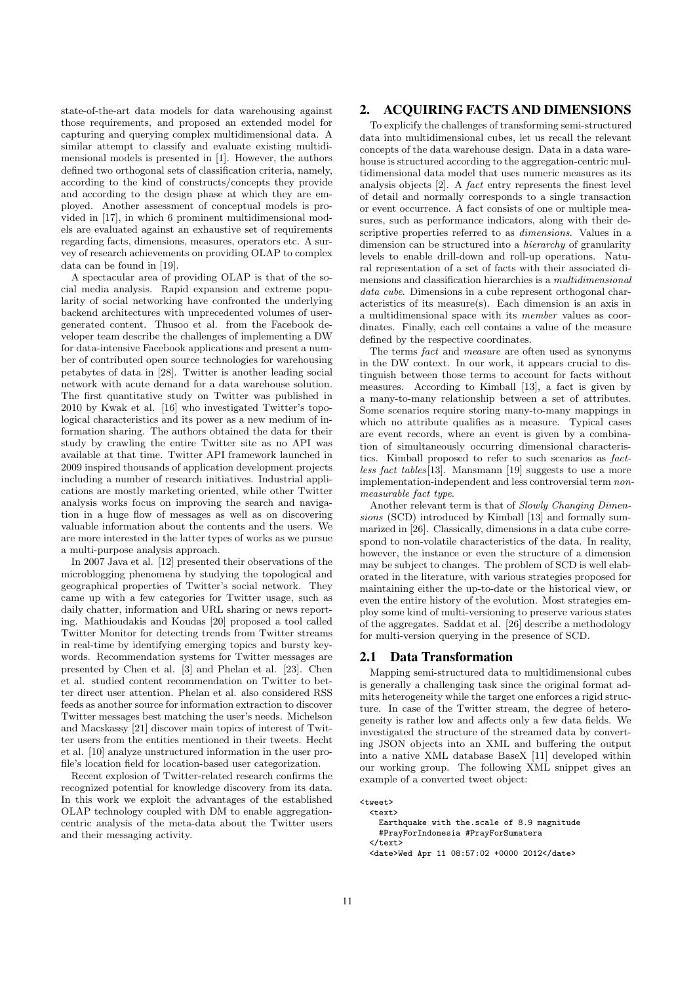state-of-the-art data models for data warehousing against those requirements, and proposed an extended model for capturing and querying complex multidimensional data. A similar attempt to classify and evaluate existing multidimensional models is presented in [1]. However, the authors defined two orthogonal sets of classification criteria, namely, according to the kind of constructs/concepts they provide and according to the design phase at which they are employed. Another assessment of conceptual models is provided in [17], in which 6 prominent multidimensional models are evaluated against an exhaustive set of requirements regarding facts, dimensions, measures, operators etc. A survey of research achievements on providing OLAP to complex data can be found in [19].

A spectacular area of providing OLAP is that of the social media analysis. Rapid expansion and extreme popularity of social networking have confronted the underlying backend architectures with unprecedented volumes of usergenerated content. Thusoo et al. from the Facebook developer team describe the challenges of implementing a DW for data-intensive Facebook applications and present a number of contributed open source technologies for warehousing petabytes of data in [28]. Twitter is another leading social network with acute demand for a data warehouse solution. The first quantitative study on Twitter was published in 2010 by Kwak et al. [16] who investigated Twitter's topological characteristics and its power as a new medium of information sharing. The authors obtained the data for their study by crawling the entire Twitter site as no API was available at that time. Twitter API framework launched in 2009 inspired thousands of application development projects including a number of research initiatives. Industrial applications are mostly marketing oriented, while other Twitter analysis works focus on improving the search and navigation in a huge flow of messages as well as on discovering valuable information about the contents and the users. We are more interested in the latter types of works as we pursue a multi-purpose analysis approach.

In 2007 Java et al. [12] presented their observations of the microblogging phenomena by studying the topological and geographical properties of Twitter's social network. They came up with a few categories for Twitter usage, such as daily chatter, information and URL sharing or news reporting. Mathioudakis and Koudas [20] proposed a tool called Twitter Monitor for detecting trends from Twitter streams in real-time by identifying emerging topics and bursty keywords. Recommendation systems for Twitter messages are presented by Chen et al. [3] and Phelan et al. [23]. Chen et al. studied content recommendation on Twitter to better direct user attention. Phelan et al. also considered RSS feeds as another source for information extraction to discover Twitter messages best matching the user's needs. Michelson and Macskassy [21] discover main topics of interest of Twitter users from the entities mentioned in their tweets. Hecht et al. [10] analyze unstructured information in the user profile's location field for location-based user categorization.

Recent explosion of Twitter-related research confirms the recognized potential for knowledge discovery from its data. In this work we exploit the advantages of the established OLAP technology coupled with DM to enable aggregationcentric analysis of the meta-data about the Twitter users and their messaging activity.

# 2. ACQUIRING FACTS AND DIMENSIONS

To explicify the challenges of transforming semi-structured data into multidimensional cubes, let us recall the relevant concepts of the data warehouse design. Data in a data warehouse is structured according to the aggregation-centric multidimensional data model that uses numeric measures as its analysis objects [2]. A *fact* entry represents the finest level of detail and normally corresponds to a single transaction or event occurrence. A fact consists of one or multiple measures, such as performance indicators, along with their descriptive properties referred to as *dimensions*. Values in a dimension can be structured into a *hierarchy* of granularity levels to enable drill-down and roll-up operations. Natural representation of a set of facts with their associated dimensions and classification hierarchies is a *multidimensional data cube*. Dimensions in a cube represent orthogonal characteristics of its measure(s). Each dimension is an axis in a multidimensional space with its *member* values as coordinates. Finally, each cell contains a value of the measure defined by the respective coordinates.

The terms *fact* and *measure* are often used as synonyms in the DW context. In our work, it appears crucial to distinguish between those terms to account for facts without measures. According to Kimball [13], a fact is given by a many-to-many relationship between a set of attributes. Some scenarios require storing many-to-many mappings in which no attribute qualifies as a measure. Typical cases are event records, where an event is given by a combination of simultaneously occurring dimensional characteristics. Kimball proposed to refer to such scenarios as *factless fact tables*[13]. Mansmann [19] suggests to use a more implementation-independent and less controversial term *nonmeasurable fact type*.

Another relevant term is that of *Slowly Changing Dimensions* (SCD) introduced by Kimball [13] and formally summarized in [26]. Classically, dimensions in a data cube correspond to non-volatile characteristics of the data. In reality, however, the instance or even the structure of a dimension may be subject to changes. The problem of SCD is well elaborated in the literature, with various strategies proposed for maintaining either the up-to-date or the historical view, or even the entire history of the evolution. Most strategies employ some kind of multi-versioning to preserve various states of the aggregates. Saddat et al. [26] describe a methodology for multi-version querying in the presence of SCD.

#### 2.1 Data Transformation

Mapping semi-structured data to multidimensional cubes is generally a challenging task since the original format admits heterogeneity while the target one enforces a rigid structure. In case of the Twitter stream, the degree of heterogeneity is rather low and affects only a few data fields. We investigated the structure of the streamed data by converting JSON objects into an XML and buffering the output into a native XML database BaseX [11] developed within our working group. The following XML snippet gives an example of a converted tweet object:

```
<tweet>
  <text>
```

```
Earthquake with the.scale of 8.9 magnitude
#PrayForIndonesia #PrayForSumatera
```

```
</text>
```

```
<date>Wed Apr 11 08:57:02 +0000 2012</date>
```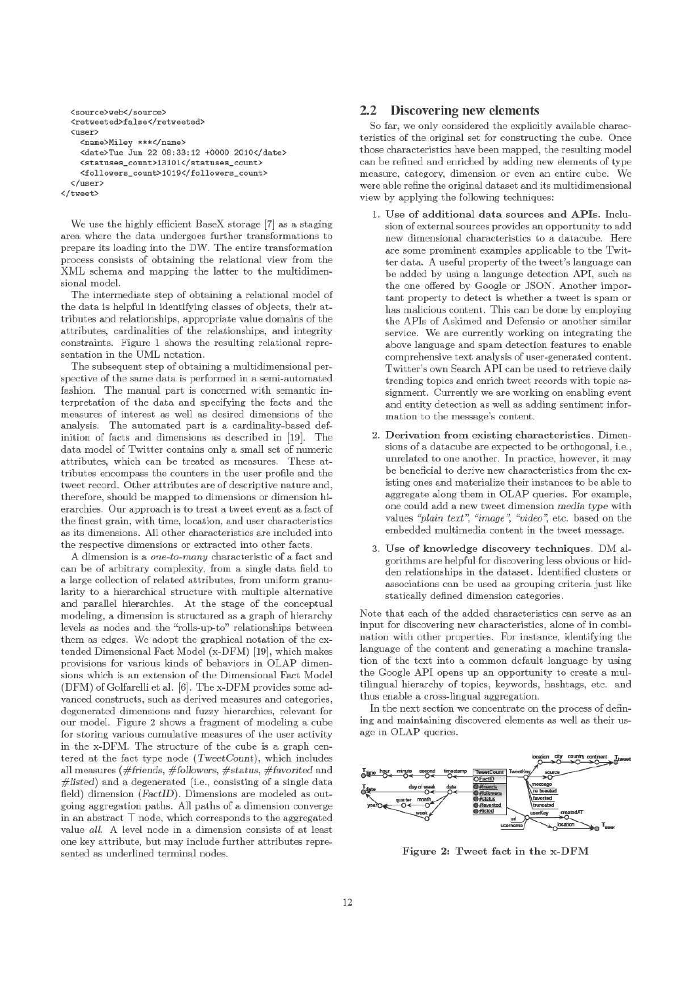```
<source>web</source>
  <retweeted>false</retweeted>
  (user)<name>Miley ***</name>
    <date>Tue Jun 22 08:33:12 +0000 2010</date>
    <statuses count>13101</statuses count>
    <followers_count>1019</followers_count>
  \langle/user>
</tweet>
```
We use the highly efficient BaseX storage [7] as a staging area where the data undergoes further transformations to prepare its loading into the DW. The entire transformation process consists of obtaining the relational view from the XML schema and mapping the latter to the multidimensional model.

The intermediate step of obtaining a relational model of the data is helpful in identifying classes of objects, their attributes and relationships, appropriate value domains of the attributes, cardinalities of the relationships, and integrity constraints. Figure 1 shows the resulting relational representation in the UML notation.

The subsequent step of obtaining a multidimensional perspective of the same data is performed in a semi-automated fashion. The manual part is concerned with semantic interpretation of the data and specifying the facts and the measures of interest as well as desired dimensions of the analysis. The automated part is a cardinality-based definition of facts and dimensions as described in [19]. The data model of Twitter contains only a small set of numeric attributes, which can be treated as measures. These attributes encompass the counters in the user profile and the tweet record. Other attributes are of descriptive nature and, therefore, should be mapped to dimensions or dimension hierarchies. Our approach is to treat a tweet event as a fact of the finest grain, with time, location, and user characteristics as its dimensions. All other characteristics are included into the respective dimensions or extracted into other facts.

A dimension is a one-to-many characteristic of a fact and can be of arbitrary complexity, from a single data field to a large collection of related attributes, from uniform granularity to a hierarchical structure with multiple alternative and parallel hierarchies. At the stage of the conceptual modeling, a dimension is structured as a graph of hierarchy levels as nodes and the "rolls-up-to" relationships between them as edges. We adopt the graphical notation of the extended Dimensional Fact Model (x-DFM) [19], which makes provisions for various kinds of behaviors in OLAP dimensions which is an extension of the Dimensional Fact Model (DFM) of Golfarelli et al. [6]. The x-DFM provides some advanced constructs, such as derived measures and categories. degenerated dimensions and fuzzy hierarchies, relevant for our model. Figure 2 shows a fragment of modeling a cube for storing various cumulative measures of the user activity in the x-DFM. The structure of the cube is a graph centered at the fact type node (TweetCount), which includes all measures (#friends, #followers, #status, #favorited and  $\#$ listed) and a degenerated (i.e., consisting of a single data field) dimension (FactID). Dimensions are modeled as outgoing aggregation paths. All paths of a dimension converge in an abstract  $\top$  node, which corresponds to the aggregated value all. A level node in a dimension consists of at least one key attribute, but may include further attributes represented as underlined terminal nodes.

#### **Discovering new elements**  $2.2$

So far, we only considered the explicitly available characteristics of the original set for constructing the cube. Once those characteristics have been mapped, the resulting model can be refined and enriched by adding new elements of type measure, category, dimension or even an entire cube. We were able refine the original dataset and its multidimensional view by applying the following techniques:

- 1. Use of additional data sources and APIs. Inclusion of external sources provides an opportunity to add new dimensional characteristics to a datacube. Here are some prominent examples applicable to the Twitter data. A useful property of the tweet's language can be added by using a language detection API, such as the one offered by Google or JSON. Another important property to detect is whether a tweet is spam or has malicious content. This can be done by employing the APIs of Askimed and Defensio or another similar service. We are currently working on integrating the above language and spam detection features to enable comprehensive text analysis of user-generated content. Twitter's own Search API can be used to retrieve daily trending topics and enrich tweet records with topic assignment. Currently we are working on enabling event and entity detection as well as adding sentiment information to the message's content.
- 2. Derivation from existing characteristics. Dimensions of a datacube are expected to be orthogonal, i.e., unrelated to one another. In practice, however, it may be beneficial to derive new characteristics from the existing ones and materialize their instances to be able to aggregate along them in OLAP queries. For example, one could add a new tweet dimension media type with values "plain text", "image", "video", etc. based on the embedded multimedia content in the tweet message.
- 3. Use of knowledge discovery techniques. DM algorithms are helpful for discovering less obvious or hidden relationships in the dataset. Identified clusters or associations can be used as grouping criteria just like statically defined dimension categories.

Note that each of the added characteristics can serve as an input for discovering new characteristics, alone of in combination with other properties. For instance, identifying the language of the content and generating a machine translation of the text into a common default language by using the Google API opens up an opportunity to create a multilingual hierarchy of topics, keywords, hashtags, etc. and thus enable a cross-lingual aggregation.

In the next section we concentrate on the process of defining and maintaining discovered elements as well as their usage in OLAP queries.



Figure 2: Tweet fact in the x-DFM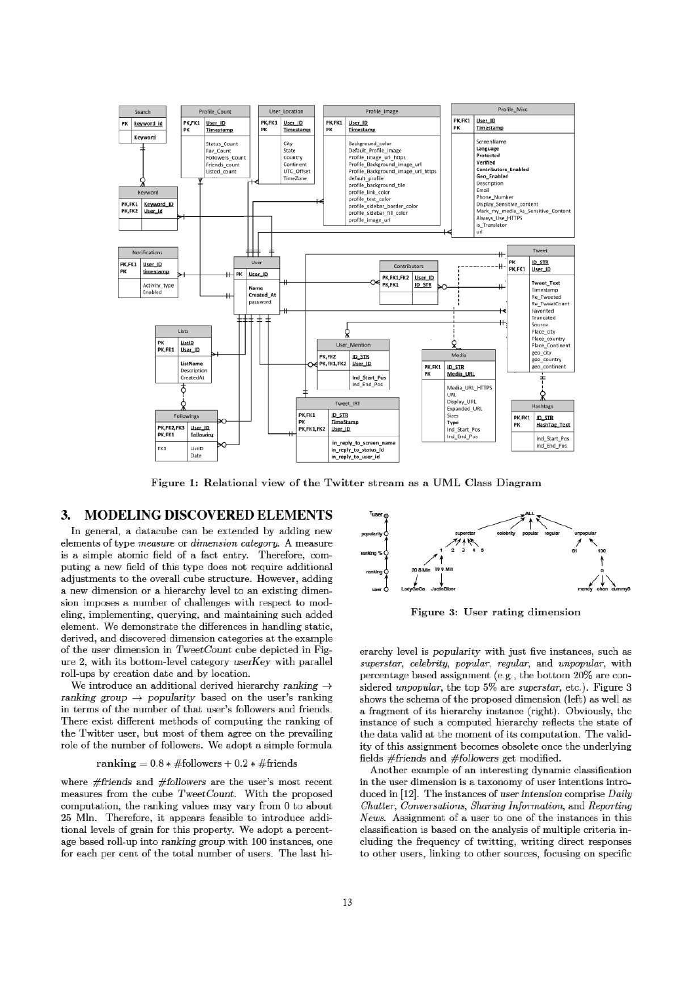

Figure 1: Relational view of the Twitter stream as a UML Class Diagram

#### **MODELING DISCOVERED ELEMENTS**  $3.$

In general, a datacube can be extended by adding new elements of type measure or dimension category. A measure is a simple atomic field of a fact entry. Therefore, computing a new field of this type does not require additional adjustments to the overall cube structure. However, adding a new dimension or a hierarchy level to an existing dimension imposes a number of challenges with respect to modeling, implementing, querying, and maintaining such added element. We demonstrate the differences in handling static. derived, and discovered dimension categories at the example of the user dimension in TweetCount cube depicted in Figure 2, with its bottom-level category userKey with parallel roll-ups by creation date and by location.

We introduce an additional derived hierarchy ranking  $\rightarrow$ ranking group  $\rightarrow$  popularity based on the user's ranking in terms of the number of that user's followers and friends. There exist different methods of computing the ranking of the Twitter user, but most of them agree on the prevailing role of the number of followers. We adopt a simple formula

### ranking =  $0.8 * #$  followers +  $0.2 * #$  friends

where #friends and #followers are the user's most recent measures from the cube TweetCount. With the proposed computation, the ranking values may vary from 0 to about 25 Mln. Therefore, it appears feasible to introduce additional levels of grain for this property. We adopt a percentage based roll-up into ranking group with 100 instances, one for each per cent of the total number of users. The last hi-



Figure 3: User rating dimension

erarchy level is *popularity* with just five instances, such as superstar, celebrity, popular, regular, and unpopular, with percentage based assignment (e.g., the bottom 20% are considered unpopular, the top 5% are superstar, etc.). Figure 3 shows the schema of the proposed dimension (left) as well as a fragment of its hierarchy instance (right). Obviously, the instance of such a computed hierarchy reflects the state of the data valid at the moment of its computation. The validity of this assignment becomes obsolete once the underlying fields  $\#$ friends and  $\#$ followers get modified.

Another example of an interesting dynamic classification in the user dimension is a taxonomy of user intentions introduced in  $[12]$ . The instances of user intension comprise  $Daily$ Chatter, Conversations, Sharing Information, and Reporting News. Assignment of a user to one of the instances in this classification is based on the analysis of multiple criteria including the frequency of twitting, writing direct responses to other users, linking to other sources, focusing on specific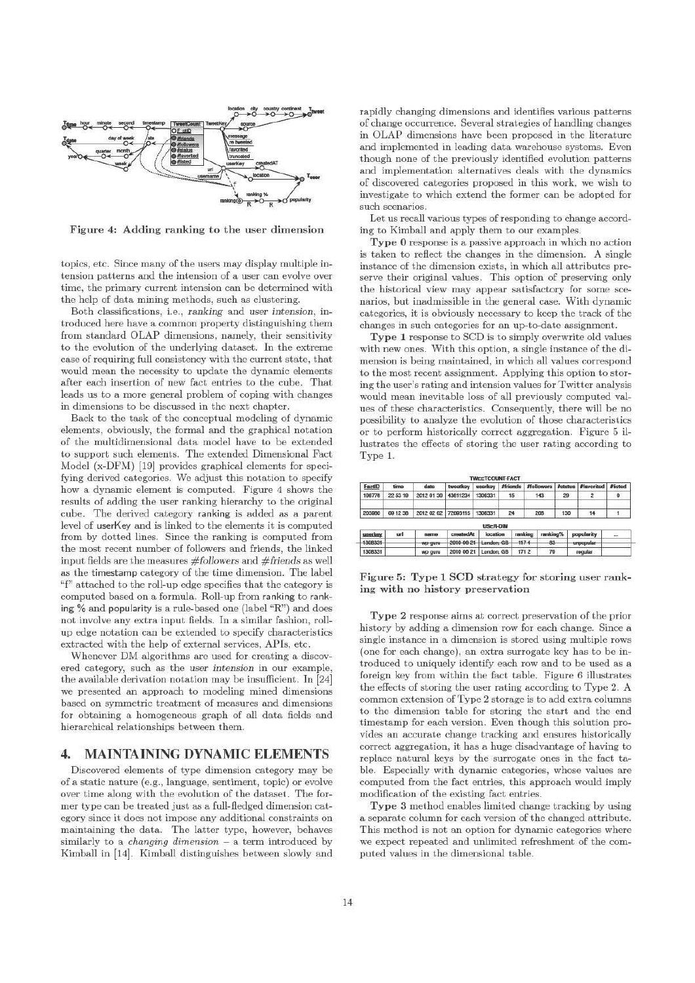

Figure 4: Adding ranking to the user dimension

topics, etc. Since many of the users may display multiple intension patterns and the intension of a user can evolve over time, the primary current intension can be determined with the help of data mining methods, such as clustering.

Both classifications, i.e., ranking and user intension, introduced here have a common property distinguishing them from standard OLAP dimensions, namely, their sensitivity to the evolution of the underlying dataset. In the extreme case of requiring full consistency with the current state, that would mean the necessity to update the dynamic elements after each insertion of new fact entries to the cube. That leads us to a more general problem of coping with changes in dimensions to be discussed in the next chapter.

Back to the task of the conceptual modeling of dynamic elements, obviously, the formal and the graphical notation of the multidimensional data model have to be extended to support such elements. The extended Dimensional Fact Model (x-DFM) [19] provides graphical elements for specifying derived categories. We adjust this notation to specify how a dynamic element is computed. Figure 4 shows the results of adding the user ranking hierarchy to the original cube. The derived category ranking is added as a parent level of userKey and is linked to the elements it is computed from by dotted lines. Since the ranking is computed from the most recent number of followers and friends, the linked input fields are the measures  $\#$ followers and  $\#$ friends as well as the timestamp category of the time dimension. The label "f" attached to the roll-up edge specifies that the category is computed based on a formula. Roll-up from ranking to ranking % and popularity is a rule-based one (label "R") and does not involve any extra input fields. In a similar fashion, rollup edge notation can be extended to specify characteristics extracted with the help of external services, APIs, etc.

Whenever DM algorithms are used for creating a discovered category, such as the user intension in our example, the available derivation notation may be insufficient. In [24] we presented an approach to modeling mined dimensions based on symmetric treatment of measures and dimensions for obtaining a homogeneous graph of all data fields and hierarchical relationships between them.

#### 4. **MAINTAINING DYNAMIC ELEMENTS**

Discovered elements of type dimension category may be of a static nature (e.g., language, sentiment, topic) or evolve over time along with the evolution of the dataset. The former type can be treated just as a full-fledged dimension category since it does not impose any additional constraints on maintaining the data. The latter type, however, behaves similarly to a *changing dimension*  $-$  a term introduced by Kimball in [14]. Kimball distinguishes between slowly and rapidly changing dimensions and identifies various patterns of change occurrence. Several strategies of handling changes in OLAP dimensions have been proposed in the literature and implemented in leading data warehouse systems. Even though none of the previously identified evolution patterns and implementation alternatives deals with the dynamics of discovered categories proposed in this work, we wish to investigate to which extend the former can be adopted for such scenarios

Let us recall various types of responding to change according to Kimball and apply them to our examples.

Type 0 response is a passive approach in which no action is taken to reflect the changes in the dimension. A single instance of the dimension exists, in which all attributes preserve their original values. This option of preserving only the historical view may appear satisfactory for some scenarios, but inadmissible in the general case. With dynamic categories, it is obviously necessary to keep the track of the changes in such categories for an up-to-date assignment.

Type 1 response to SCD is to simply overwrite old values with new ones. With this option, a single instance of the dimension is being maintained, in which all values correspond to the most recent assignment. Applying this option to storing the user's rating and intension values for Twitter analysis would mean inevitable loss of all previously computed values of these characteristics. Consequently, there will be no possibility to analyze the evolution of those characteristics or to perform historically correct aggregation. Figure 5 illustrates the effects of storing the user rating according to Type 1.

| FactiD  | time     | date           | tweetkey   | userkey         | #friends |           | <b>ffollowers</b>   | <b>#atstus</b> | #favorited | #listed |  |
|---------|----------|----------------|------------|-----------------|----------|-----------|---------------------|----------------|------------|---------|--|
| 198778  | 22 53 19 | 2012 01 30     | 43611234   | 1308331         |          | 15<br>143 |                     | 29             | 2          | 0       |  |
| 203980  | 09 12 38 | 2012 02 02     | 72693115   | 1308331         | 24       |           | 208                 | 130            | 14         |         |  |
|         |          |                |            | <b>USER-DIM</b> |          |           |                     |                |            |         |  |
| userkey | url      | nama           | createdAt  |                 | location |           | ranking%<br>ranking |                | popularity |         |  |
| 1308331 |          | <b>WD-QUIU</b> | 2010-06-21 | London, GB      |          | 1174      | -83                 |                | unpopular- |         |  |
| 1308331 |          | wp guru        | 2010 06 21 | London, GB      |          | 1712      | 79                  |                | regular    |         |  |

Figure 5: Type 1 SCD strategy for storing user ranking with no history preservation

Type 2 response aims at correct preservation of the prior history by adding a dimension row for each change. Since a single instance in a dimension is stored using multiple rows (one for each change), an extra surrogate key has to be introduced to uniquely identify each row and to be used as a foreign key from within the fact table. Figure 6 illustrates the effects of storing the user rating according to Type 2. A common extension of Type 2 storage is to add extra columns to the dimension table for storing the start and the end timestamp for each version. Even though this solution provides an accurate change tracking and ensures historically correct aggregation, it has a huge disadvantage of having to replace natural keys by the surrogate ones in the fact table. Especially with dynamic categories, whose values are computed from the fact entries, this approach would imply modification of the existing fact entries.

Type 3 method enables limited change tracking by using a separate column for each version of the changed attribute. This method is not an option for dynamic categories where we expect repeated and unlimited refreshment of the computed values in the dimensional table.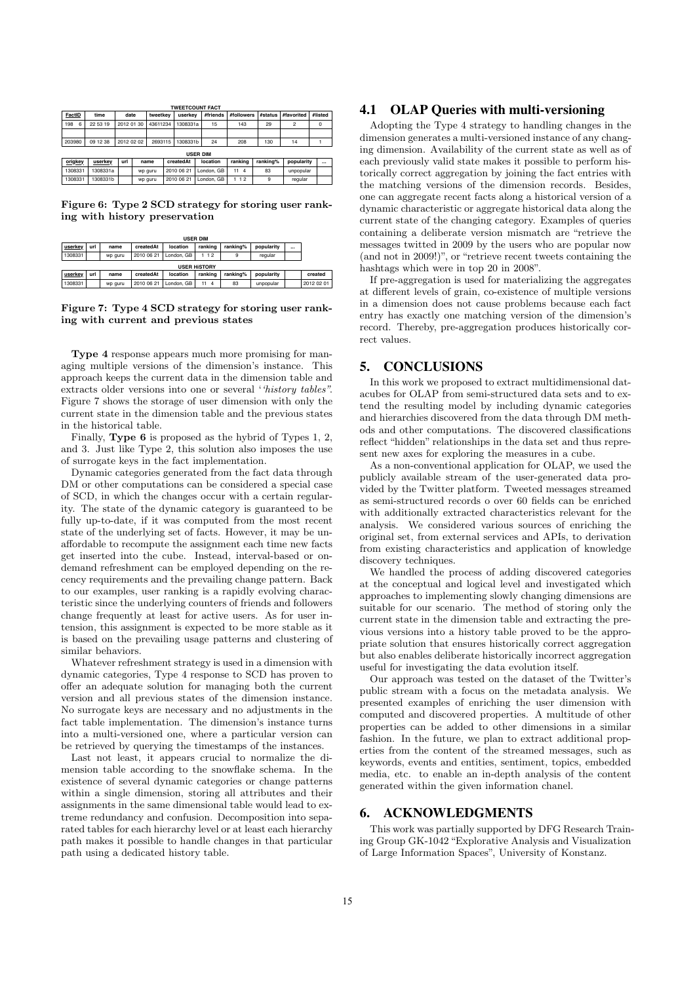| <b>TWEETCOUNT FACT</b> |          |            |      |          |  |            |  |            |                      |          |                |   |          |
|------------------------|----------|------------|------|----------|--|------------|--|------------|----------------------|----------|----------------|---|----------|
| FactID                 | time     | date       |      | tweetkev |  | userkev    |  | #friends   | #followers           | #status  | #favorited     |   | #listed  |
| 198<br>6               | 22 53 19 | 2012 01 30 |      | 43611234 |  | 1308331a   |  | 15         | 143                  | 29       | $\overline{2}$ | 0 |          |
|                        |          |            |      |          |  |            |  |            |                      |          |                |   |          |
| 203980                 | 09 12 38 | 2012 02 02 |      | 2693115  |  | 1308331b   |  | 24         | 208                  | 130      | 14             |   |          |
| <b>USER DIM</b>        |          |            |      |          |  |            |  |            |                      |          |                |   |          |
| origkey                | userkey  | url        | name |          |  | createdAt  |  | location   | ranking              | ranking% | popularity     |   | $\cdots$ |
| 1308331                | 1308331a |            |      | wp guru  |  | 2010 06 21 |  | London, GB | 11<br>$\overline{4}$ | 83       | unpopular      |   |          |
|                        |          |            |      |          |  |            |  |            |                      |          |                |   |          |

Figure 6: Type 2 SCD strategy for storing user ranking with history preservation

1308331 1308331b wp guru 2010 06 21 London, GB 1 1 2 9 regular

| <b>USER DIM</b>     |         |                          |         |            |            |                      |          |            |  |            |  |  |
|---------------------|---------|--------------------------|---------|------------|------------|----------------------|----------|------------|--|------------|--|--|
|                     | userkev | createdAt<br>url<br>name |         |            | location   | ranking              | ranking% | popularity |  |            |  |  |
|                     | 1308331 |                          | wp guru | 2010 06 21 | London, GB | 12                   | 9        | regular    |  |            |  |  |
| <b>USER HISTORY</b> |         |                          |         |            |            |                      |          |            |  |            |  |  |
|                     | userkev | url                      | name    | createdAt  | location   | ranking              | ranking% | popularity |  | created    |  |  |
|                     | 1308331 |                          | wp guru | 2010 06 21 | London, GB | 11<br>$\overline{4}$ | 83       | unpopular  |  | 2012 02 01 |  |  |

Figure 7: Type 4 SCD strategy for storing user ranking with current and previous states

Type 4 response appears much more promising for managing multiple versions of the dimension's instance. This approach keeps the current data in the dimension table and extracts older versions into one or several '*'history tables"*. Figure 7 shows the storage of user dimension with only the current state in the dimension table and the previous states in the historical table.

Finally, Type 6 is proposed as the hybrid of Types 1, 2, and 3. Just like Type 2, this solution also imposes the use of surrogate keys in the fact implementation.

Dynamic categories generated from the fact data through DM or other computations can be considered a special case of SCD, in which the changes occur with a certain regularity. The state of the dynamic category is guaranteed to be fully up-to-date, if it was computed from the most recent state of the underlying set of facts. However, it may be unaffordable to recompute the assignment each time new facts get inserted into the cube. Instead, interval-based or ondemand refreshment can be employed depending on the recency requirements and the prevailing change pattern. Back to our examples, user ranking is a rapidly evolving characteristic since the underlying counters of friends and followers change frequently at least for active users. As for user intension, this assignment is expected to be more stable as it is based on the prevailing usage patterns and clustering of similar behaviors.

Whatever refreshment strategy is used in a dimension with dynamic categories, Type 4 response to SCD has proven to offer an adequate solution for managing both the current version and all previous states of the dimension instance. No surrogate keys are necessary and no adjustments in the fact table implementation. The dimension's instance turns into a multi-versioned one, where a particular version can be retrieved by querying the timestamps of the instances.

Last not least, it appears crucial to normalize the dimension table according to the snowflake schema. In the existence of several dynamic categories or change patterns within a single dimension, storing all attributes and their assignments in the same dimensional table would lead to extreme redundancy and confusion. Decomposition into separated tables for each hierarchy level or at least each hierarchy path makes it possible to handle changes in that particular path using a dedicated history table.

### 4.1 OLAP Queries with multi-versioning

Adopting the Type 4 strategy to handling changes in the dimension generates a multi-versioned instance of any changing dimension. Availability of the current state as well as of each previously valid state makes it possible to perform historically correct aggregation by joining the fact entries with the matching versions of the dimension records. Besides, one can aggregate recent facts along a historical version of a dynamic characteristic or aggregate historical data along the current state of the changing category. Examples of queries containing a deliberate version mismatch are "retrieve the messages twitted in 2009 by the users who are popular now (and not in 2009!)", or "retrieve recent tweets containing the hashtags which were in top 20 in 2008".

If pre-aggregation is used for materializing the aggregates at different levels of grain, co-existence of multiple versions in a dimension does not cause problems because each fact entry has exactly one matching version of the dimension's record. Thereby, pre-aggregation produces historically correct values.

# 5. CONCLUSIONS

In this work we proposed to extract multidimensional datacubes for OLAP from semi-structured data sets and to extend the resulting model by including dynamic categories and hierarchies discovered from the data through DM methods and other computations. The discovered classifications reflect "hidden" relationships in the data set and thus represent new axes for exploring the measures in a cube.

As a non-conventional application for OLAP, we used the publicly available stream of the user-generated data provided by the Twitter platform. Tweeted messages streamed as semi-structured records o over 60 fields can be enriched with additionally extracted characteristics relevant for the analysis. We considered various sources of enriching the original set, from external services and APIs, to derivation from existing characteristics and application of knowledge discovery techniques.

We handled the process of adding discovered categories at the conceptual and logical level and investigated which approaches to implementing slowly changing dimensions are suitable for our scenario. The method of storing only the current state in the dimension table and extracting the previous versions into a history table proved to be the appropriate solution that ensures historically correct aggregation but also enables deliberate historically incorrect aggregation useful for investigating the data evolution itself.

Our approach was tested on the dataset of the Twitter's public stream with a focus on the metadata analysis. We presented examples of enriching the user dimension with computed and discovered properties. A multitude of other properties can be added to other dimensions in a similar fashion. In the future, we plan to extract additional properties from the content of the streamed messages, such as keywords, events and entities, sentiment, topics, embedded media, etc. to enable an in-depth analysis of the content generated within the given information chanel.

# 6. ACKNOWLEDGMENTS

This work was partially supported by DFG Research Training Group GK-1042 "Explorative Analysis and Visualization of Large Information Spaces", University of Konstanz.